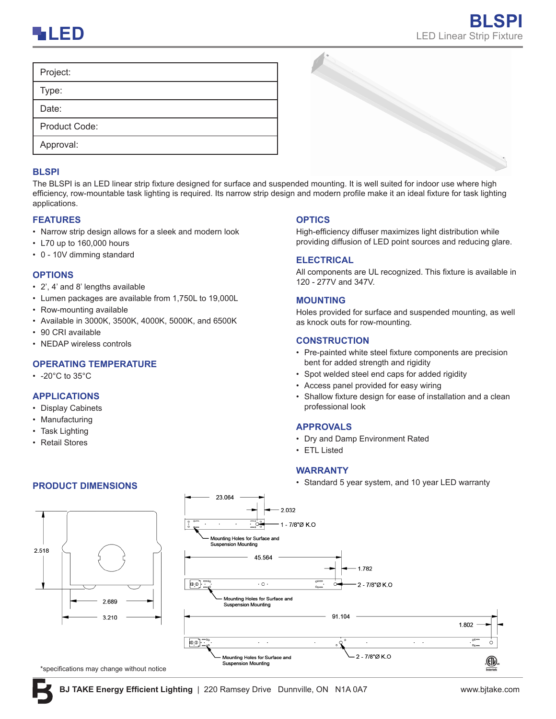

| Project:      |  |
|---------------|--|
| Type:         |  |
| Date:         |  |
| Product Code: |  |
| Approval:     |  |
|               |  |

#### **BLSPI**

The BLSPI is an LED linear strip fixture designed for surface and suspended mounting. It is well suited for indoor use where high efficiency, row-mountable task lighting is required. Its narrow strip design and modern profile make it an ideal fixture for task lighting applications.

## **FEATURES**

- Narrow strip design allows for a sleek and modern look
- L70 up to 160,000 hours
- 0 10V dimming standard

### **OPTIONS**

- 2', 4' and 8' lengths available
- Lumen packages are available from 1,750L to 19,000L
- Row-mounting available
- Available in 3000K, 3500K, 4000K, 5000K, and 6500K
- 90 CRI available
- NEDAP wireless controls

# **OPERATING TEMPERATURE**

 $\cdot$  -20°C to 35°C

## **APPLICATIONS**

- Display Cabinets
- Manufacturing
- Task Lighting
- Retail Stores





\*specifications may change without notice

Mounting Holes for Surface and Suspension Mounting

ற ந

#### **OPTICS**

High-efficiency diffuser maximizes light distribution while providing diffusion of LED point sources and reducing glare.

### **ELECTRICAL**

All components are UL recognized. This fixture is available in 120 - 277V and 347V.

## **MOUNTING**

Holes provided for surface and suspended mounting, as well as knock outs for row-mounting.

## **CONSTRUCTION**

- Pre-painted white steel fixture components are precision bent for added strength and rigidity
- Spot welded steel end caps for added rigidity
- Access panel provided for easy wiring
- Shallow fixture design for ease of installation and a clean professional look

#### **APPROVALS**

• Dry and Damp Environment Rated

2 - 7/8"Ø K.O

• ETL Listed

#### **WARRANTY**

• Standard 5 year system, and 10 year LED warranty **PRODUCT DIMENSIONS**